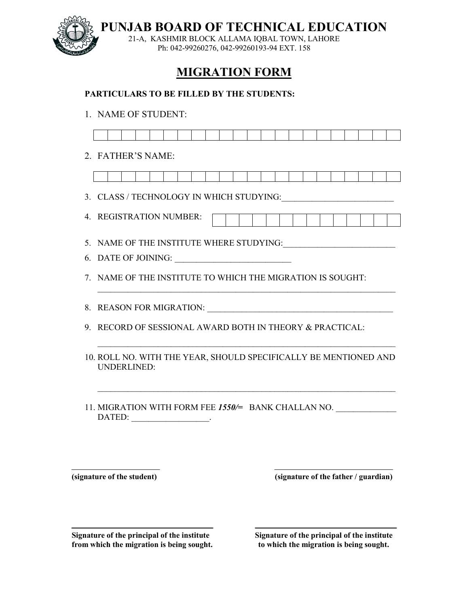

**PUNJAB BOARD OF TECHNICAL EDUCATION**

21-A, KASHMIR BLOCK ALLAMA IQBAL TOWN, LAHORE Ph: 042-99260276, 042-99260193-94 EXT. 158

## **MIGRATION FORM**

## **PARTICULARS TO BE FILLED BY THE STUDENTS:**

1. NAME OF STUDENT:

| 2. FATHER'S NAME:                                                               |
|---------------------------------------------------------------------------------|
|                                                                                 |
|                                                                                 |
| 4. REGISTRATION NUMBER:                                                         |
|                                                                                 |
| 5. NAME OF THE INSTITUTE WHERE STUDYING:                                        |
|                                                                                 |
| 7. NAME OF THE INSTITUTE TO WHICH THE MIGRATION IS SOUGHT:                      |
|                                                                                 |
|                                                                                 |
| 9. RECORD OF SESSIONAL AWARD BOTH IN THEORY & PRACTICAL:                        |
|                                                                                 |
| 10. ROLL NO. WITH THE YEAR, SHOULD SPECIFICALLY BE MENTIONED AND<br>UNDERLINED: |
| 11. MIGRATION WITH FORM FEE 1550/= BANK CHALLAN NO.                             |

**(signature of the student) (signature of the father / guardian)**

Signature of the principal of the institute<br> **Signature of the principal of the institute**<br> **Signature of the principal of the institute**<br> **Signature of the principal of the institute** from which the migration is being sought.